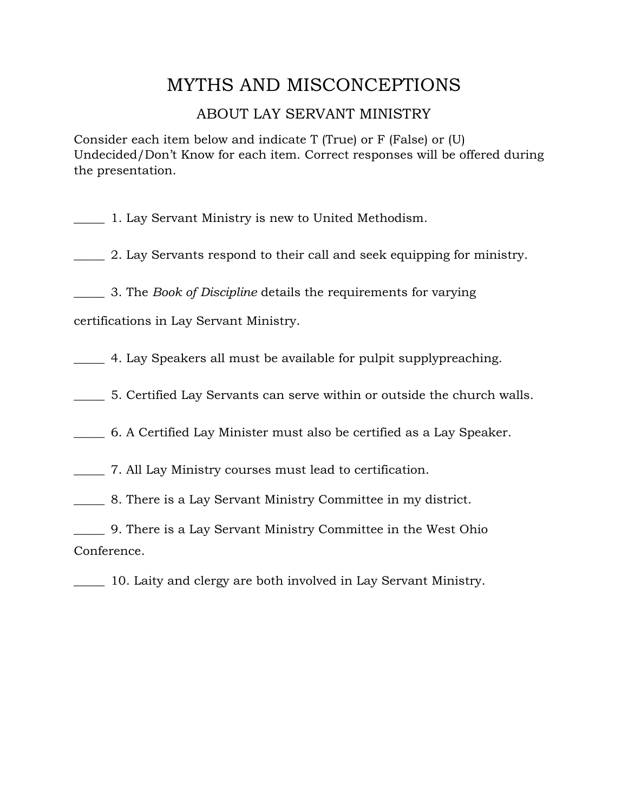# MYTHS AND MISCONCEPTIONS

### ABOUT LAY SERVANT MINISTRY

Consider each item below and indicate T (True) or F (False) or (U) Undecided/Don't Know for each item. Correct responses will be offered during the presentation.

\_\_\_\_\_ 1. Lay Servant Ministry is new to United Methodism.

\_\_\_\_\_ 2. Lay Servants respond to their call and seek equipping for ministry.

\_\_\_\_\_ 3. The *Book of Discipline* details the requirements for varying

certifications in Lay Servant Ministry.

\_\_\_\_\_ 4. Lay Speakers all must be available for pulpit supplypreaching.

\_\_\_\_\_ 5. Certified Lay Servants can serve within or outside the church walls.

\_\_\_\_\_ 6. A Certified Lay Minister must also be certified as a Lay Speaker.

\_\_\_\_\_ 7. All Lay Ministry courses must lead to certification.

\_\_\_\_\_ 8. There is a Lay Servant Ministry Committee in my district.

\_\_\_\_\_ 9. There is a Lay Servant Ministry Committee in the West Ohio Conference.

\_\_\_\_\_ 10. Laity and clergy are both involved in Lay Servant Ministry.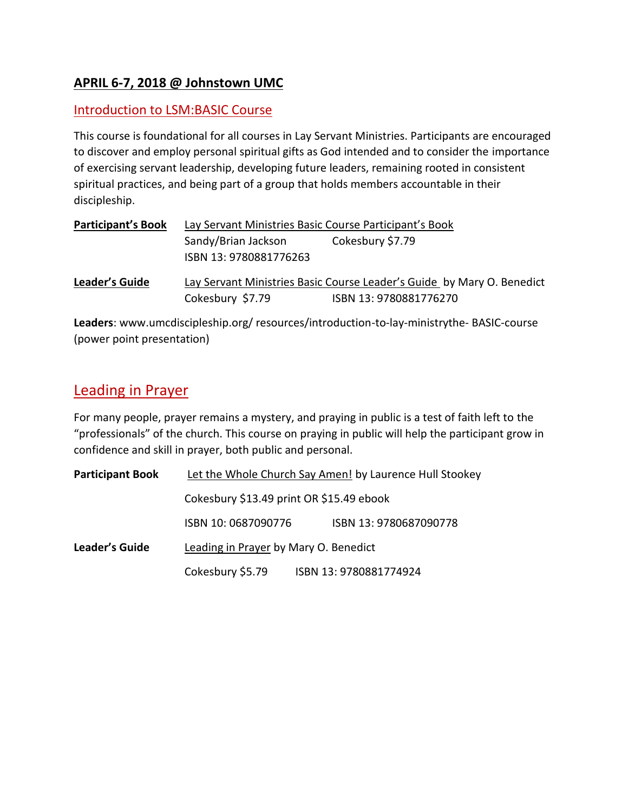### **APRIL 6-7, 2018 @ Johnstown UMC**

#### Introduction to LSM:BASIC Course

This course is foundational for all courses in Lay Servant Ministries. Participants are encouraged to discover and employ personal spiritual gifts as God intended and to consider the importance of exercising servant leadership, developing future leaders, remaining rooted in consistent spiritual practices, and being part of a group that holds members accountable in their discipleship.

| <b>Participant's Book</b> | Lay Servant Ministries Basic Course Participant's Book                 |                        |  |
|---------------------------|------------------------------------------------------------------------|------------------------|--|
|                           | Sandy/Brian Jackson<br>ISBN 13: 9780881776263                          | Cokesbury \$7.79       |  |
| Leader's Guide            | Lay Servant Ministries Basic Course Leader's Guide by Mary O. Benedict |                        |  |
|                           | Cokesbury \$7.79                                                       | ISBN 13: 9780881776270 |  |

**Leaders**: www.umcdiscipleship.org/ resources/introduction-to-lay-ministrythe- BASIC-course (power point presentation)

## Leading in Prayer

For many people, prayer remains a mystery, and praying in public is a test of faith left to the "professionals" of the church. This course on praying in public will help the participant grow in confidence and skill in prayer, both public and personal.

| <b>Participant Book</b> | Let the Whole Church Say Amen! by Laurence Hull Stookey |                        |  |
|-------------------------|---------------------------------------------------------|------------------------|--|
|                         | Cokesbury \$13.49 print OR \$15.49 ebook                |                        |  |
|                         | ISBN 10:0687090776                                      | ISBN 13:9780687090778  |  |
| <b>Leader's Guide</b>   | Leading in Prayer by Mary O. Benedict                   |                        |  |
|                         | Cokesbury \$5.79                                        | ISBN 13: 9780881774924 |  |